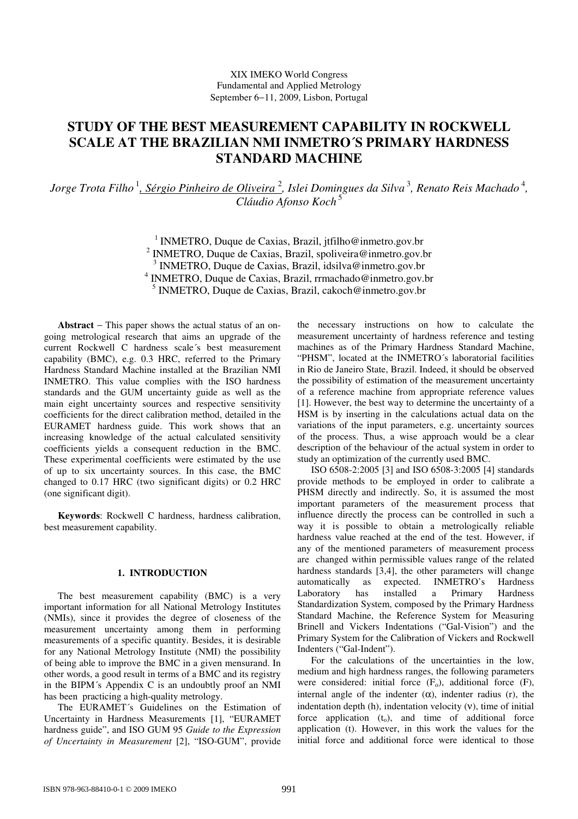# **STUDY OF THE BEST MEASUREMENT CAPABILITY IN ROCKWELL SCALE AT THE BRAZILIAN NMI INMETRO´S PRIMARY HARDNESS STANDARD MACHINE**

Jorge Trota Filho <sup>1</sup><u>, Sérgio Pinheiro de Oliveira <sup>2</sup>,</u> Islei Domingues da Silva <sup>3</sup>, Renato Reis Machado <sup>4</sup>, *Cláudio Afonso Koch* 5

> <sup>1</sup> INMETRO, Duque de Caxias, Brazil, jtfilho@inmetro.gov.br INMETRO, Duque de Caxias, Brazil, spoliveira@inmetro.gov.br INMETRO, Duque de Caxias, Brazil, idsilva@inmetro.gov.br INMETRO, Duque de Caxias, Brazil, rrmachado@inmetro.gov.br INMETRO, Duque de Caxias, Brazil, cakoch@inmetro.gov.br

**Abstract** − This paper shows the actual status of an ongoing metrological research that aims an upgrade of the current Rockwell C hardness scale´s best measurement capability (BMC), e.g. 0.3 HRC, referred to the Primary Hardness Standard Machine installed at the Brazilian NMI INMETRO. This value complies with the ISO hardness standards and the GUM uncertainty guide as well as the main eight uncertainty sources and respective sensitivity coefficients for the direct calibration method, detailed in the EURAMET hardness guide. This work shows that an increasing knowledge of the actual calculated sensitivity coefficients yields a consequent reduction in the BMC. These experimental coefficients were estimated by the use of up to six uncertainty sources. In this case, the BMC changed to 0.17 HRC (two significant digits) or 0.2 HRC (one significant digit).

**Keywords**: Rockwell C hardness, hardness calibration, best measurement capability.

#### **1. INTRODUCTION**

The best measurement capability (BMC) is a very important information for all National Metrology Institutes (NMIs), since it provides the degree of closeness of the measurement uncertainty among them in performing measurements of a specific quantity. Besides, it is desirable for any National Metrology Institute (NMI) the possibility of being able to improve the BMC in a given mensurand. In other words, a good result in terms of a BMC and its registry in the BIPM´s Appendix C is an undoubtly proof an NMI has been practicing a high-quality metrology.

The EURAMET´s Guidelines on the Estimation of Uncertainty in Hardness Measurements [1], "EURAMET hardness guide", and ISO GUM 95 *Guide to the Expression of Uncertainty in Measurement* [2], "ISO-GUM", provide the necessary instructions on how to calculate the measurement uncertainty of hardness reference and testing machines as of the Primary Hardness Standard Machine, "PHSM", located at the INMETRO´s laboratorial facilities in Rio de Janeiro State, Brazil. Indeed, it should be observed the possibility of estimation of the measurement uncertainty of a reference machine from appropriate reference values [1]. However, the best way to determine the uncertainty of a HSM is by inserting in the calculations actual data on the variations of the input parameters, e.g. uncertainty sources of the process. Thus, a wise approach would be a clear description of the behaviour of the actual system in order to study an optimization of the currently used BMC.

ISO 6508-2:2005 [3] and ISO 6508-3:2005 [4] standards provide methods to be employed in order to calibrate a PHSM directly and indirectly. So, it is assumed the most important parameters of the measurement process that influence directly the process can be controlled in such a way it is possible to obtain a metrologically reliable hardness value reached at the end of the test. However, if any of the mentioned parameters of measurement process are changed within permissible values range of the related hardness standards [3,4], the other parameters will change automatically as expected. INMETRO's Hardness Laboratory has installed a Primary Hardness Standardization System, composed by the Primary Hardness Standard Machine, the Reference System for Measuring Brinell and Vickers Indentations ("Gal-Vision") and the Primary System for the Calibration of Vickers and Rockwell Indenters ("Gal-Indent").

For the calculations of the uncertainties in the low, medium and high hardness ranges, the following parameters were considered: initial force  $(F_0)$ , additional force  $(F)$ , internal angle of the indenter  $(\alpha)$ , indenter radius (r), the indentation depth (h), indentation velocity (ν), time of initial force application  $(t_0)$ , and time of additional force application (t). However, in this work the values for the initial force and additional force were identical to those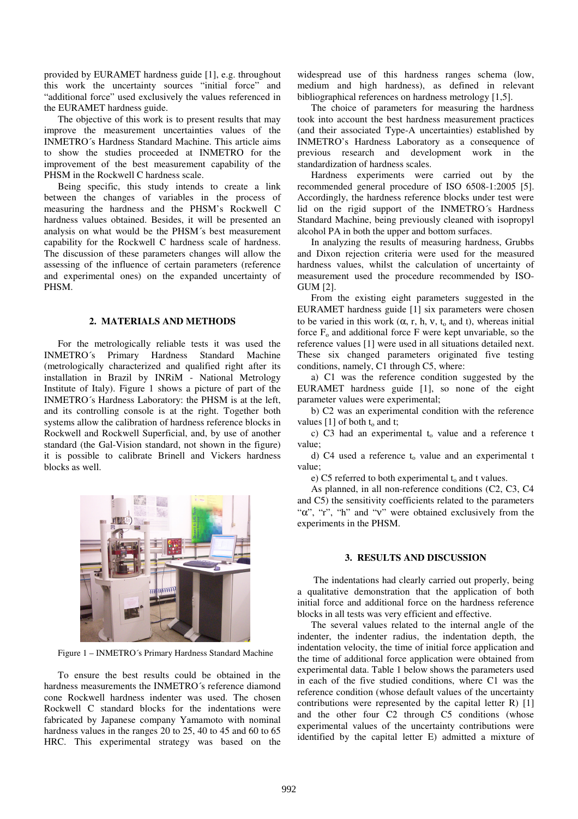provided by EURAMET hardness guide [1], e.g. throughout this work the uncertainty sources "initial force" and "additional force" used exclusively the values referenced in the EURAMET hardness guide.

The objective of this work is to present results that may improve the measurement uncertainties values of the INMETRO´s Hardness Standard Machine. This article aims to show the studies proceeded at INMETRO for the improvement of the best measurement capability of the PHSM in the Rockwell C hardness scale.

Being specific, this study intends to create a link between the changes of variables in the process of measuring the hardness and the PHSM's Rockwell C hardness values obtained. Besides, it will be presented an analysis on what would be the PHSM´s best measurement capability for the Rockwell C hardness scale of hardness. The discussion of these parameters changes will allow the assessing of the influence of certain parameters (reference and experimental ones) on the expanded uncertainty of PHSM.

#### **2. MATERIALS AND METHODS**

For the metrologically reliable tests it was used the INMETRO´s Primary Hardness Standard Machine (metrologically characterized and qualified right after its installation in Brazil by INRiM - National Metrology Institute of Italy). Figure 1 shows a picture of part of the INMETRO´s Hardness Laboratory: the PHSM is at the left, and its controlling console is at the right. Together both systems allow the calibration of hardness reference blocks in Rockwell and Rockwell Superficial, and, by use of another standard (the Gal-Vision standard, not shown in the figure) it is possible to calibrate Brinell and Vickers hardness blocks as well.



Figure 1 – INMETRO´s Primary Hardness Standard Machine

To ensure the best results could be obtained in the hardness measurements the INMETRO´s reference diamond cone Rockwell hardness indenter was used. The chosen Rockwell C standard blocks for the indentations were fabricated by Japanese company Yamamoto with nominal hardness values in the ranges 20 to 25, 40 to 45 and 60 to 65 HRC. This experimental strategy was based on the widespread use of this hardness ranges schema (low, medium and high hardness), as defined in relevant bibliographical references on hardness metrology [1,5].

The choice of parameters for measuring the hardness took into account the best hardness measurement practices (and their associated Type-A uncertainties) established by INMETRO's Hardness Laboratory as a consequence of previous research and development work in the standardization of hardness scales.

Hardness experiments were carried out by the recommended general procedure of ISO 6508-1:2005 [5]. Accordingly, the hardness reference blocks under test were lid on the rigid support of the INMETRO´s Hardness Standard Machine, being previously cleaned with isopropyl alcohol PA in both the upper and bottom surfaces.

In analyzing the results of measuring hardness, Grubbs and Dixon rejection criteria were used for the measured hardness values, whilst the calculation of uncertainty of measurement used the procedure recommended by ISO-GUM [2].

From the existing eight parameters suggested in the EURAMET hardness guide [1] six parameters were chosen to be varied in this work  $(\alpha, r, h, v, t_0, \text{ and } t)$ , whereas initial force  $F_0$  and additional force F were kept unvariable, so the reference values [1] were used in all situations detailed next. These six changed parameters originated five testing conditions, namely, C1 through C5, where:

a) C1 was the reference condition suggested by the EURAMET hardness guide [1], so none of the eight parameter values were experimental;

b) C2 was an experimental condition with the reference values  $[1]$  of both  $t_0$  and t;

c) C3 had an experimental  $t_0$  value and a reference t value;

d) C4 used a reference  $t_0$  value and an experimental t value;

e) C5 referred to both experimental  $t_0$  and t values.

As planned, in all non-reference conditions (C2, C3, C4 and C5) the sensitivity coefficients related to the parameters "α", "r", "h" and "ν" were obtained exclusively from the experiments in the PHSM.

## **3. RESULTS AND DISCUSSION**

The indentations had clearly carried out properly, being a qualitative demonstration that the application of both initial force and additional force on the hardness reference blocks in all tests was very efficient and effective.

The several values related to the internal angle of the indenter, the indenter radius, the indentation depth, the indentation velocity, the time of initial force application and the time of additional force application were obtained from experimental data. Table 1 below shows the parameters used in each of the five studied conditions, where C1 was the reference condition (whose default values of the uncertainty contributions were represented by the capital letter R) [1] and the other four C2 through C5 conditions (whose experimental values of the uncertainty contributions were identified by the capital letter E) admitted a mixture of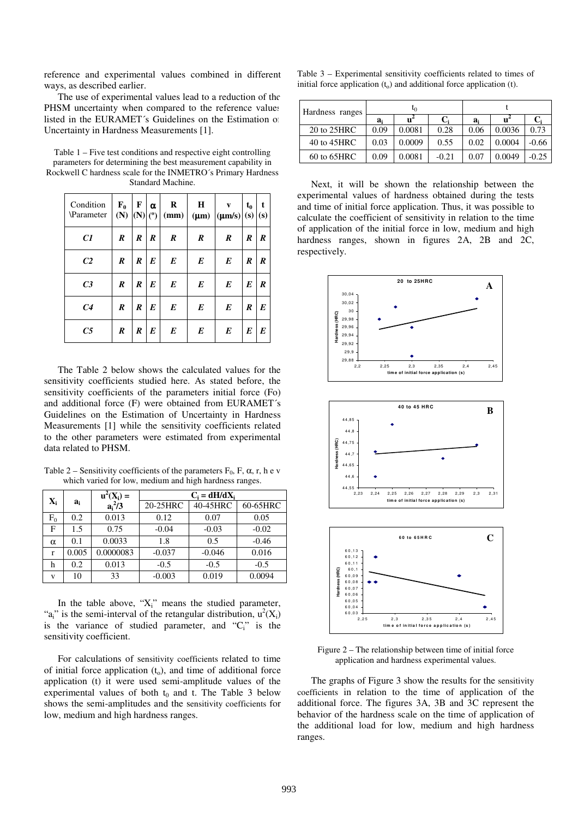reference and experimental values combined in different ways, as described earlier.

The use of experimental values lead to a reduction of the PHSM uncertainty when compared to the reference values listed in the EURAMET´s Guidelines on the Estimation of Uncertainty in Hardness Measurements [1].

Table 1 – Five test conditions and respective eight controlling parameters for determining the best measurement capability in Rockwell C hardness scale for the INMETRO´s Primary Hardness Standard Machine.

| Condition<br>Parameter | $F_0$<br>(N)     | F<br>(N)  | $\alpha$<br>(°) | R<br>(mm)        | $\bf H$<br>$(\mu m)$ | $\mathbf{v}$<br>$ (\mu m/s)  (s)$ | $t_0$ | t<br>(s) |
|------------------------|------------------|-----------|-----------------|------------------|----------------------|-----------------------------------|-------|----------|
| C1                     | $\boldsymbol{R}$ | $\pmb{R}$ | R               | $\boldsymbol{R}$ | $\boldsymbol{R}$     | R                                 | R     | R        |
| C <sub>2</sub>         | R                | R         | E               | $\boldsymbol{E}$ | $\boldsymbol{E}$     | E                                 | R     | R        |
| C <sub>3</sub>         | $\boldsymbol{R}$ | R         | E               | E                | $\boldsymbol{E}$     | $\boldsymbol{E}$                  | E     | R        |
| C <sub>4</sub>         | R                | R         | E               | E                | $\boldsymbol{E}$     | $\boldsymbol{E}$                  | R     | E        |
| C <sub>5</sub>         | R                | R         | E               | E                | E                    | E                                 | E     | E        |

The Table 2 below shows the calculated values for the sensitivity coefficients studied here. As stated before, the sensitivity coefficients of the parameters initial force (Fo) and additional force (F) were obtained from EURAMET´s Guidelines on the Estimation of Uncertainty in Hardness Measurements [1] while the sensitivity coefficients related to the other parameters were estimated from experimental data related to PHSM.

Table 2 – Sensitivity coefficients of the parameters  $F_0$ , F,  $\alpha$ , r, h e v which varied for low, medium and high hardness ranges.

|                | $a_i$ | $u^2(X_i) =$ | $C_i = dH/dX_i$ |          |          |  |  |
|----------------|-------|--------------|-----------------|----------|----------|--|--|
| $\mathbf{X}_i$ |       | $a_i^2/3$    | 20-25HRC        | 40-45HRC | 60-65HRC |  |  |
| ${\rm F_0}$    | 0.2   | 0.013        | 0.12            | 0.07     | 0.05     |  |  |
| F              | 1.5   | 0.75         | $-0.04$         | $-0.03$  | $-0.02$  |  |  |
| α              | 0.1   | 0.0033       | 1.8             | 0.5      | $-0.46$  |  |  |
| r              | 0.005 | 0.0000083    | $-0.037$        | $-0.046$ | 0.016    |  |  |
| h              | 0.2   | 0.013        | $-0.5$          | $-0.5$   | $-0.5$   |  |  |
| V              | 10    | 33           | $-0.003$        | 0.019    | 0.0094   |  |  |

In the table above, " $X_i$ " means the studied parameter, "a<sub>i</sub>" is the semi-interval of the retangular distribution,  $u^2(X_i)$ is the variance of studied parameter, and " $C_i$ " is the sensitivity coefficient.

For calculations of sensitivity coefficients related to time of initial force application  $(t_0)$ , and time of additional force application (t) it were used semi-amplitude values of the experimental values of both  $t_0$  and t. The Table 3 below shows the semi-amplitudes and the sensitivity coefficients for low, medium and high hardness ranges.

Table 3 – Experimental sensitivity coefficients related to times of initial force application  $(t_0)$  and additional force application (t).

| Hardness ranges  |       | եր     |         |       |        |         |  |
|------------------|-------|--------|---------|-------|--------|---------|--|
|                  | $a_i$ | u      | $C_i$   | $a_i$ |        |         |  |
| 20 to 25HRC      | 0.09  | 0.0081 | 0.28    | 0.06  | 0.0036 | 0.73    |  |
| 40 to 45HRC      | 0.03  | 0.0009 | 0.55    | 0.02  | 0.0004 | $-0.66$ |  |
| $60$ to $65$ HRC | 0.09  | 0.0081 | $-0.21$ | 0.07  | 0.0049 | $-0.25$ |  |

Next, it will be shown the relationship between the experimental values of hardness obtained during the tests and time of initial force application. Thus, it was possible to calculate the coefficient of sensitivity in relation to the time of application of the initial force in low, medium and high hardness ranges, shown in figures 2A, 2B and 2C, respectively.



Figure 2 – The relationship between time of initial force application and hardness experimental values.

The graphs of Figure 3 show the results for the sensitivity coefficients in relation to the time of application of the additional force. The figures 3A, 3B and 3C represent the behavior of the hardness scale on the time of application of the additional load for low, medium and high hardness ranges.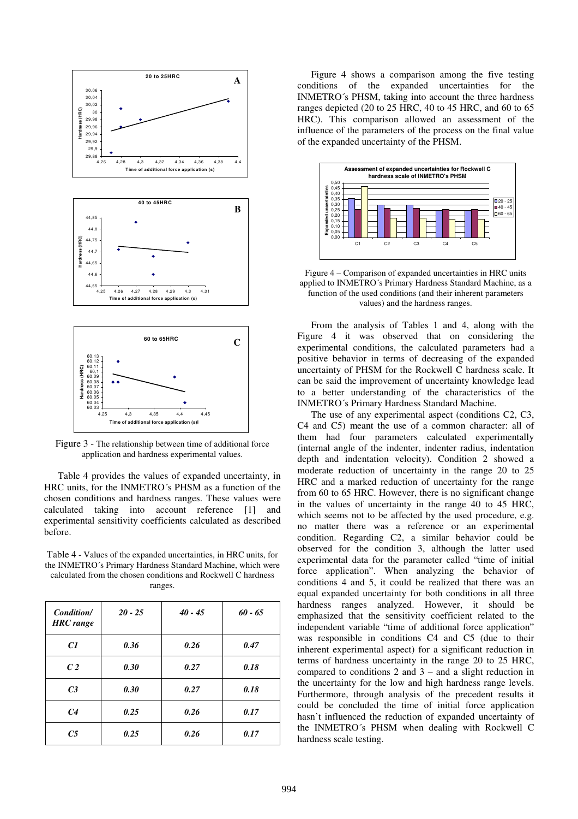

Figure 3 - The relationship between time of additional force application and hardness experimental values.

Table 4 provides the values of expanded uncertainty, in HRC units, for the INMETRO´s PHSM as a function of the chosen conditions and hardness ranges. These values were calculated taking into account reference [1] and experimental sensitivity coefficients calculated as described before.

Table 4 - Values of the expanded uncertainties, in HRC units, for the INMETRO´s Primary Hardness Standard Machine, which were calculated from the chosen conditions and Rockwell C hardness ranges.

| Condition/<br><b>HRC</b> range | $20 - 25$ | $40 - 45$ | $60 - 65$ |
|--------------------------------|-----------|-----------|-----------|
| C1                             | 0.36      | 0.26      | 0.47      |
| C <sub>2</sub>                 | 0.30      | 0.27      | 0.18      |
| C <sub>3</sub>                 | 0.30      | 0.27      | 0.18      |
| C <sub>4</sub>                 | 0.25      | 0.26      | 0.17      |
| C <sub>5</sub>                 | 0.25      | 0.26      | 0.17      |

Figure 4 shows a comparison among the five testing conditions of the expanded uncertainties for the INMETRO´s PHSM, taking into account the three hardness ranges depicted (20 to 25 HRC, 40 to 45 HRC, and 60 to 65 HRC). This comparison allowed an assessment of the influence of the parameters of the process on the final value of the expanded uncertainty of the PHSM.



Figure 4 – Comparison of expanded uncertainties in HRC units applied to INMETRO´s Primary Hardness Standard Machine, as a function of the used conditions (and their inherent parameters values) and the hardness ranges.

From the analysis of Tables 1 and 4, along with the Figure 4 it was observed that on considering the experimental conditions, the calculated parameters had a positive behavior in terms of decreasing of the expanded uncertainty of PHSM for the Rockwell C hardness scale. It can be said the improvement of uncertainty knowledge lead to a better understanding of the characteristics of the INMETRO´s Primary Hardness Standard Machine.

The use of any experimental aspect (conditions C2, C3, C4 and C5) meant the use of a common character: all of them had four parameters calculated experimentally (internal angle of the indenter, indenter radius, indentation depth and indentation velocity). Condition 2 showed a moderate reduction of uncertainty in the range 20 to 25 HRC and a marked reduction of uncertainty for the range from 60 to 65 HRC. However, there is no significant change in the values of uncertainty in the range 40 to 45 HRC, which seems not to be affected by the used procedure, e.g. no matter there was a reference or an experimental condition. Regarding C2, a similar behavior could be observed for the condition 3, although the latter used experimental data for the parameter called "time of initial force application". When analyzing the behavior of conditions 4 and 5, it could be realized that there was an equal expanded uncertainty for both conditions in all three hardness ranges analyzed. However, it should be emphasized that the sensitivity coefficient related to the independent variable "time of additional force application" was responsible in conditions C4 and C5 (due to their inherent experimental aspect) for a significant reduction in terms of hardness uncertainty in the range 20 to 25 HRC, compared to conditions  $2$  and  $3$  – and a slight reduction in the uncertainty for the low and high hardness range levels. Furthermore, through analysis of the precedent results it could be concluded the time of initial force application hasn't influenced the reduction of expanded uncertainty of the INMETRO´s PHSM when dealing with Rockwell C hardness scale testing.